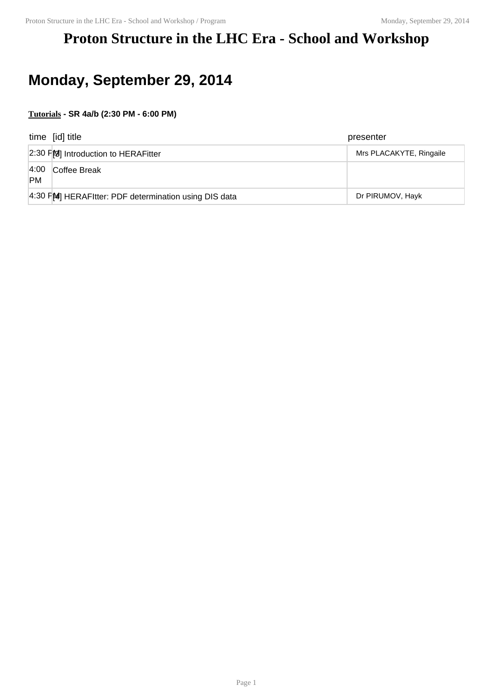### **Proton Structure in the LHC Era - School and Workshop**

# **Monday, September 29, 2014**

#### **Tutorials - SR 4a/b (2:30 PM - 6:00 PM)**

|                    | time [id] title                                      | presenter               |
|--------------------|------------------------------------------------------|-------------------------|
|                    | 2:30 PM Introduction to HERAFitter                   | Mrs PLACAKYTE, Ringaile |
| 4:00 <br><b>PM</b> | Coffee Break                                         |                         |
|                    | 4:30 FM HERAFItter: PDF determination using DIS data | Dr PIRUMOV, Hayk        |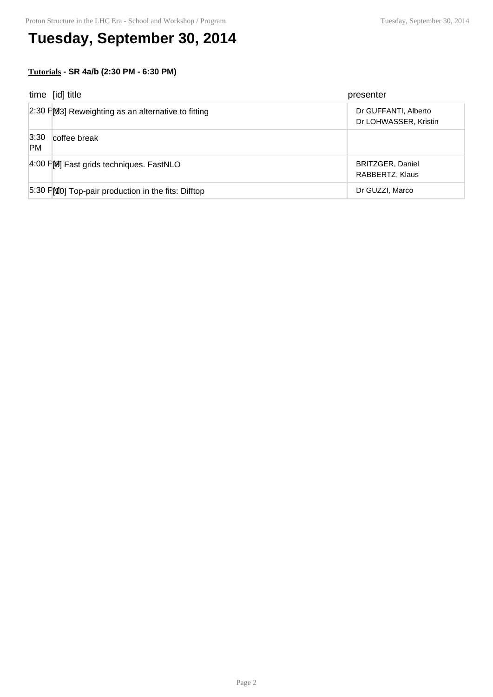# **Tuesday, September 30, 2014**

#### **Tutorials - SR 4a/b (2:30 PM - 6:30 PM)**

|                   | time [id] title                                    | presenter                                     |
|-------------------|----------------------------------------------------|-----------------------------------------------|
|                   | 2:30 FM3] Reweighting as an alternative to fitting | Dr GUFFANTI, Alberto<br>Dr LOHWASSER, Kristin |
| 3:30<br><b>PM</b> | coffee break                                       |                                               |
|                   | 4:00 FM Fast grids techniques. FastNLO             | <b>BRITZGER, Daniel</b><br>RABBERTZ, Klaus    |
|                   | 5:30 FMO] Top-pair production in the fits: Difftop | Dr GUZZI, Marco                               |